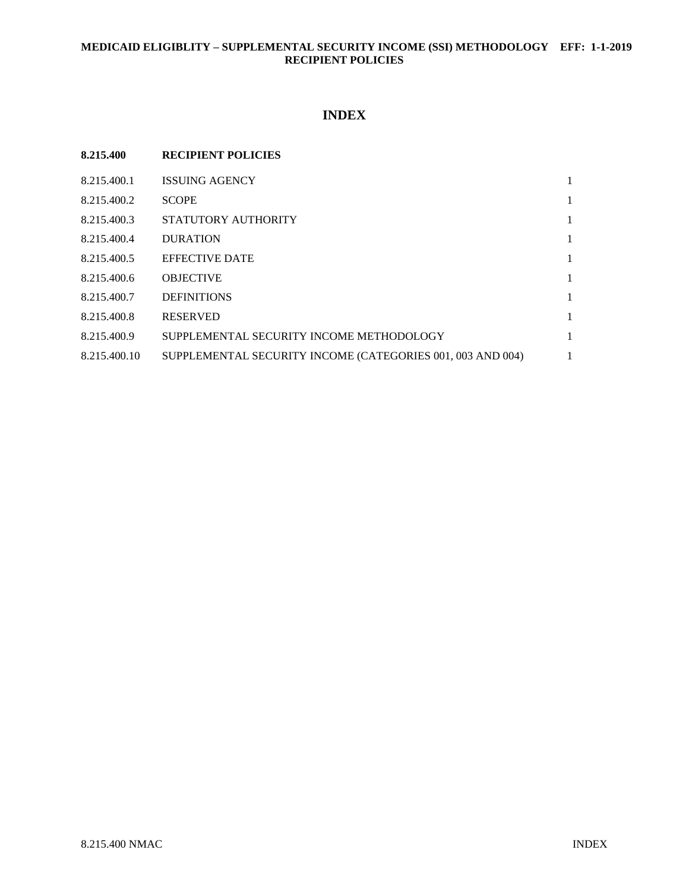# **MEDICAID ELIGIBLITY – SUPPLEMENTAL SECURITY INCOME (SSI) METHODOLOGY EFF: 1-1-2019 RECIPIENT POLICIES**

# **INDEX**

| 8.215.400    | <b>RECIPIENT POLICIES</b>                                  |   |
|--------------|------------------------------------------------------------|---|
| 8.215.400.1  | <b>ISSUING AGENCY</b>                                      | 1 |
| 8.215.400.2  | <b>SCOPE</b>                                               | 1 |
| 8.215.400.3  | STATUTORY AUTHORITY                                        | 1 |
| 8.215.400.4  | <b>DURATION</b>                                            | 1 |
| 8.215.400.5  | <b>EFFECTIVE DATE</b>                                      | 1 |
| 8.215.400.6  | <b>OBJECTIVE</b>                                           | 1 |
| 8.215.400.7  | <b>DEFINITIONS</b>                                         | 1 |
| 8.215.400.8  | <b>RESERVED</b>                                            | 1 |
| 8.215.400.9  | SUPPLEMENTAL SECURITY INCOME METHODOLOGY                   | 1 |
| 8.215.400.10 | SUPPLEMENTAL SECURITY INCOME (CATEGORIES 001, 003 AND 004) | 1 |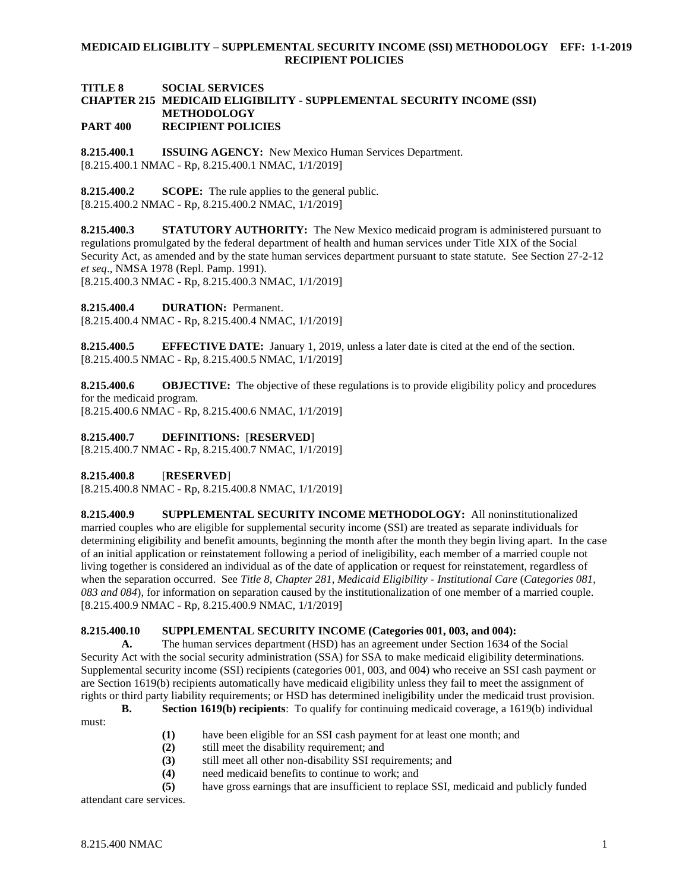## **MEDICAID ELIGIBLITY – SUPPLEMENTAL SECURITY INCOME (SSI) METHODOLOGY EFF: 1-1-2019 RECIPIENT POLICIES**

### **TITLE 8 SOCIAL SERVICES CHAPTER 215 MEDICAID ELIGIBILITY - SUPPLEMENTAL SECURITY INCOME (SSI) METHODOLOGY PART 400 RECIPIENT POLICIES**

<span id="page-1-0"></span>**8.215.400.1 ISSUING AGENCY:** New Mexico Human Services Department. [8.215.400.1 NMAC - Rp, 8.215.400.1 NMAC, 1/1/2019]

<span id="page-1-1"></span>**8.215.400.2 SCOPE:** The rule applies to the general public. [8.215.400.2 NMAC - Rp, 8.215.400.2 NMAC, 1/1/2019]

<span id="page-1-2"></span>**8.215.400.3 STATUTORY AUTHORITY:** The New Mexico medicaid program is administered pursuant to regulations promulgated by the federal department of health and human services under Title XIX of the Social Security Act, as amended and by the state human services department pursuant to state statute. See Section 27-2-12 *et seq*., NMSA 1978 (Repl. Pamp. 1991).

[8.215.400.3 NMAC - Rp, 8.215.400.3 NMAC, 1/1/2019]

<span id="page-1-3"></span>**8.215.400.4 DURATION:** Permanent.

[8.215.400.4 NMAC - Rp, 8.215.400.4 NMAC, 1/1/2019]

<span id="page-1-4"></span>**8.215.400.5 EFFECTIVE DATE:** January 1, 2019, unless a later date is cited at the end of the section. [8.215.400.5 NMAC - Rp, 8.215.400.5 NMAC, 1/1/2019]

<span id="page-1-5"></span>**8.215.400.6 OBJECTIVE:** The objective of these regulations is to provide eligibility policy and procedures for the medicaid program.

[8.215.400.6 NMAC - Rp, 8.215.400.6 NMAC, 1/1/2019]

<span id="page-1-6"></span>**8.215.400.7 DEFINITIONS:** [**RESERVED**]

[8.215.400.7 NMAC - Rp, 8.215.400.7 NMAC, 1/1/2019]

<span id="page-1-7"></span>**8.215.400.8** [**RESERVED**]

[8.215.400.8 NMAC - Rp, 8.215.400.8 NMAC, 1/1/2019]

<span id="page-1-8"></span>**8.215.400.9 SUPPLEMENTAL SECURITY INCOME METHODOLOGY:** All noninstitutionalized married couples who are eligible for supplemental security income (SSI) are treated as separate individuals for determining eligibility and benefit amounts, beginning the month after the month they begin living apart. In the case of an initial application or reinstatement following a period of ineligibility, each member of a married couple not living together is considered an individual as of the date of application or request for reinstatement, regardless of when the separation occurred. See *Title 8, Chapter 281, Medicaid Eligibility - Institutional Care* (*Categories 081, 083 and 084*), for information on separation caused by the institutionalization of one member of a married couple. [8.215.400.9 NMAC - Rp, 8.215.400.9 NMAC, 1/1/2019]

# <span id="page-1-9"></span>**8.215.400.10 SUPPLEMENTAL SECURITY INCOME (Categories 001, 003, and 004):**

**A.** The human services department (HSD) has an agreement under Section 1634 of the Social Security Act with the social security administration (SSA) for SSA to make medicaid eligibility determinations. Supplemental security income (SSI) recipients (categories 001, 003, and 004) who receive an SSI cash payment or are Section 1619(b) recipients automatically have medicaid eligibility unless they fail to meet the assignment of rights or third party liability requirements; or HSD has determined ineligibility under the medicaid trust provision.

**B. Section 1619(b) recipients**: To qualify for continuing medicaid coverage, a 1619(b) individual

- **(1)** have been eligible for an SSI cash payment for at least one month; and
- **(2)** still meet the disability requirement; and
- **(3)** still meet all other non-disability SSI requirements; and
- **(4)** need medicaid benefits to continue to work; and
- **(5)** have gross earnings that are insufficient to replace SSI, medicaid and publicly funded

attendant care services.

must: